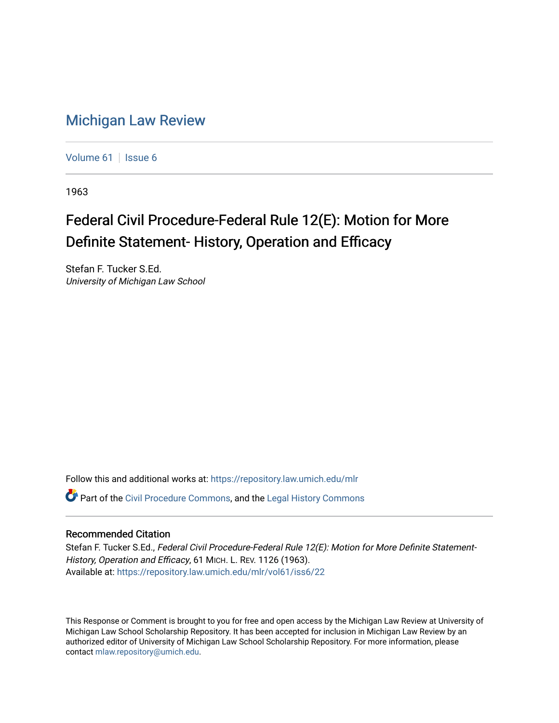## [Michigan Law Review](https://repository.law.umich.edu/mlr)

[Volume 61](https://repository.law.umich.edu/mlr/vol61) | [Issue 6](https://repository.law.umich.edu/mlr/vol61/iss6)

1963

# Federal Civil Procedure-Federal Rule 12(E): Motion for More Definite Statement- History, Operation and Efficacy

Stefan F. Tucker S.Ed. University of Michigan Law School

Follow this and additional works at: [https://repository.law.umich.edu/mlr](https://repository.law.umich.edu/mlr?utm_source=repository.law.umich.edu%2Fmlr%2Fvol61%2Fiss6%2F22&utm_medium=PDF&utm_campaign=PDFCoverPages) 

Part of the [Civil Procedure Commons,](http://network.bepress.com/hgg/discipline/584?utm_source=repository.law.umich.edu%2Fmlr%2Fvol61%2Fiss6%2F22&utm_medium=PDF&utm_campaign=PDFCoverPages) and the [Legal History Commons](http://network.bepress.com/hgg/discipline/904?utm_source=repository.law.umich.edu%2Fmlr%2Fvol61%2Fiss6%2F22&utm_medium=PDF&utm_campaign=PDFCoverPages) 

## Recommended Citation

Stefan F. Tucker S.Ed., Federal Civil Procedure-Federal Rule 12(E): Motion for More Definite Statement-History, Operation and Efficacy, 61 MICH. L. REV. 1126 (1963). Available at: [https://repository.law.umich.edu/mlr/vol61/iss6/22](https://repository.law.umich.edu/mlr/vol61/iss6/22?utm_source=repository.law.umich.edu%2Fmlr%2Fvol61%2Fiss6%2F22&utm_medium=PDF&utm_campaign=PDFCoverPages) 

This Response or Comment is brought to you for free and open access by the Michigan Law Review at University of Michigan Law School Scholarship Repository. It has been accepted for inclusion in Michigan Law Review by an authorized editor of University of Michigan Law School Scholarship Repository. For more information, please contact [mlaw.repository@umich.edu](mailto:mlaw.repository@umich.edu).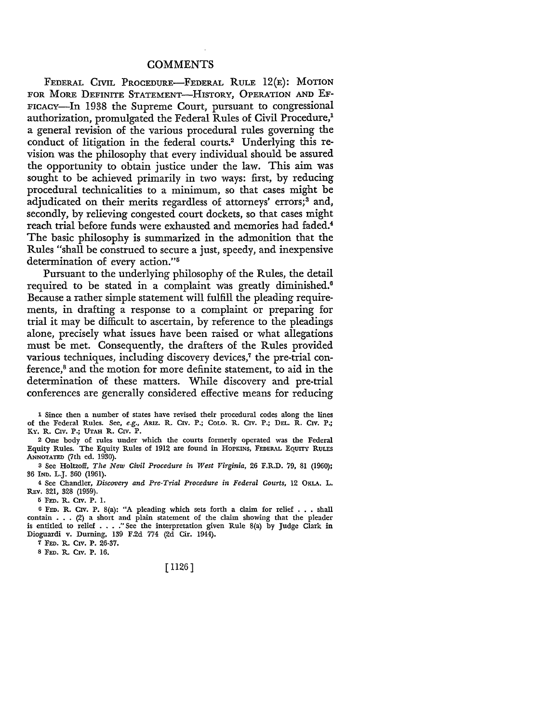### **COMMENTS**

FEDERAL CIVIL PROCEDURE-FEDERAL RULE 12(E): MOTION FOR MORE DEFINITE STATEMENT-HISTORY, OPERATION AND EF-FICACY-In 1938 the Supreme Court, pursuant to congressional authorization, promulgated the Federal Rules of Civil Procedure,<sup>1</sup> a general revision of the various procedural rules governing the conduct of litigation in the federal courts.2 Underlying this revision was the philosophy that every individual should be assured the opportunity to obtain justice under the law. This aim was sought to be achieved primarily in two ways: first, by reducing procedural technicalities to a minimum, so that cases might be adjudicated on their merits regardless of attorneys' errors;<sup>3</sup> and, secondly, by relieving congested court dockets, so that cases might reach trial before funds were exhausted and memories had faded.<sup>4</sup> The basic philosophy is summarized in the admonition that the Rules "shall be construed to secure a just, speedy, and inexpensive determination of every action."<sup>5</sup>

Pursuant to the underlying philosophy of the Rules, the detail required to be stated in a complaint was greatly diminished.<sup>6</sup> Because a rather simple statement will fulfill the pleading requirements, in drafting a response to a complaint or preparing for trial it may be difficult to ascertain, by reference to the pleadings alone, precisely what issues have been raised or what allegations must be met. Consequently, the drafters of the Rules provided various techniques, including discovery devices,<sup>7</sup> the pre-trial conference,<sup>8</sup> and the motion for more definite statement, to aid in the determination of these matters. While discovery and pre-trial conferences are generally considered effective means for reducing

l Since then a number of states have revised their procedural codes along the lines of the Federal Rules. See, *e.g.,* ARIZ. R. CIV. P.; COLO. R. CIV. P.; DEL. R. CIV. P.; KY. R. CIV. P.; UTAH R. CIV. P.

2 One body of rules under which the courts formerly operated was the Federal Equity Rules. The Equity Rules of 1912 are found in HOPKINS, FEDERAL EQUITY RULES .ANNOTATED (7th ed. 1930).

3 See Holtzoff, *The New Civil Procedure in West Virginia,* 26 F.R.D. 79, 81 (1960); 36 IND. L.J. 360 (1961).

4 See Chandler, *Discovery and Pre-Trial Procedure in Federal Courts,* 12 OKLA. L. REv. 321, 328 (1959).

5 FED. R. CIV. P. 1.

<sup>6</sup>FED. R. CIV. P. 8(a): "A pleading which sets forth a claim for relief ..• shall contain . . • (2) a short and plain statement of the claim showing that the pleader is entitled to relief . • . ." See the interpretation given Rule 8(a) by Judge Clark in Dioguardi v. Durning, 139 F.2d 774 (2d Cir. 1944).

7 FED. R. CIV. P. 26-37.

8 FED. R. CIV. P. 16.

## [ 1126]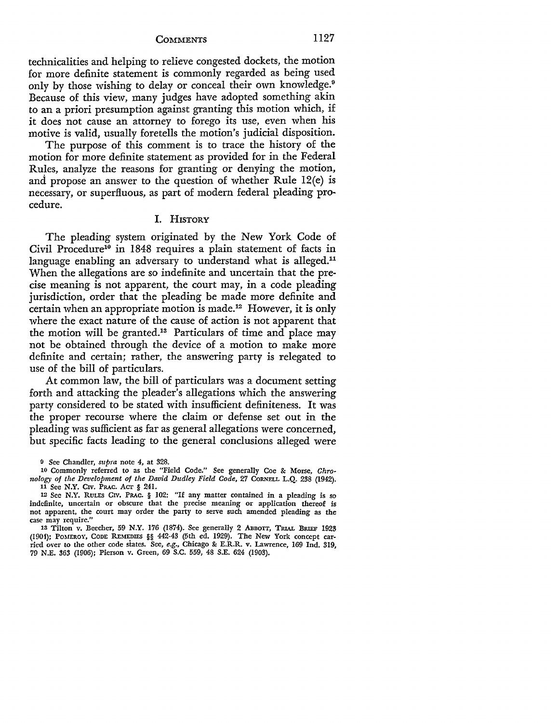**COMMENTS** 1127

technicalities and helping to relieve congested dockets, the motion for more definite statement is commonly regarded as being used only by those wishing to delay or conceal their own knowledge.<sup>9</sup> Because of this view, many judges have adopted something akin to an a priori presumption against granting this motion which, if it does not cause an attorney to forego its use, even when his motive is valid, usually foretells the motion's judicial disposition.

The purpose of this comment is to trace the history of the motion for more definite statement as provided for in the Federal Rules, analyze the reasons for granting or denying the motion, and propose an answer to the question of whether Rule 12(e) is necessary, or superfluous, as part of modern federal pleading procedure.

## I. **HISTORY**

The pleading system originated by the New York Code of Civil Procedure<sup>10</sup> in 1848 requires a plain statement of facts in language enabling an adversary to understand what is alleged.<sup>11</sup> When the allegations are so indefinite and uncertain that the precise meaning is not apparent, the court may, in a code pleading jurisdiction, order that the pleading be made more definite and certain when an appropriate motion is made.12 However, it is only where the exact nature of the cause of action is not apparent that the motion will be granted.13 Particulars of time and place may not be obtained through the device of a motion to make more definite and certain; rather, the answering party is relegated to use of the bill of particulars.

At common law, the bill of particulars was a document setting forth and attacking the pleader's allegations which the answering party considered to be stated with insufficient definiteness. It was the proper recourse where the claim or defense set out in the pleading was sufficient as far as general allegations were concerned, but specific facts leading to the general conclusions alleged were

o See Chandler, *supra* note 4, at 328.

<sup>10</sup> Commonly referred to as the "Field Code." See generally Coe & Morse, *Chro• nology of the Development of the David Dudley Field Code,* 27 CORNELL L.Q. 238 (1942). 11 See **N.Y.** CIV. PRAc. Acr: § 241.

<sup>12</sup> See **N.Y.** RuLES CIV. PRAc. § 102: "If any matter contained in a pleading is so indefinite, uncertain or obscure that the precise meaning or application thereof is not apparent, the court may order the party to serve such amended pleading as the case may require."

<sup>13</sup> Tilton v. Beecher, 59 N.Y. 176 (1874). See generally 2 ABBOTT, TRIAL BRIEF 1923 (1904); POMEROY, CODE REMEDIES §§ 442-43 (5th ed. 1929). The New York concept carried over to the other code states. See, *e.g.,* Chicago & E.R.R. v. Lawrence, 169 Ind. 319, 79 N.E. 363 (1906); Pierson v. Green, 69 S.C. 559, 48 S.E. 624 (1903).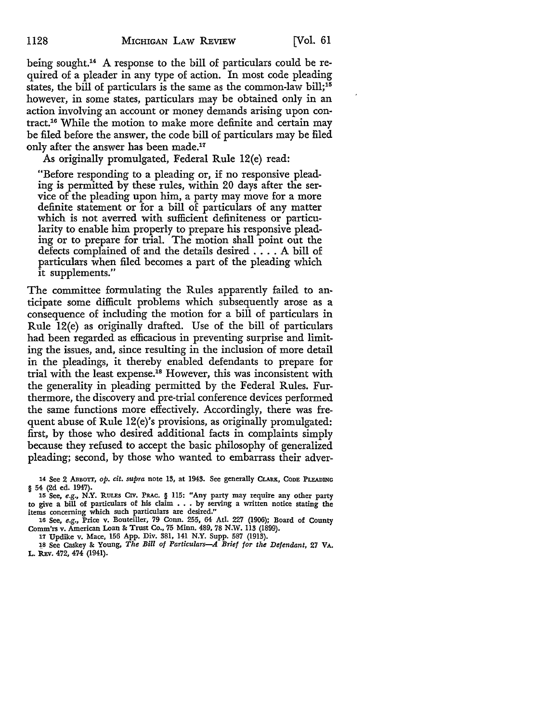being sought.14 A response to the bill of particulars could be required of a pleader in any type of action. In most code pleading states, the bill of particulars is the same as the common-law bill;15 however, in some states, particulars may be obtained only in an action involving an account or money demands arising upon contract.16 While the motion to make more definite and certain may be filed before the answer, the code bill of particulars may be filed only after the answer has been made.17

As originally promulgated, Federal Rule 12(e) read:

"Before responding to a pleading or, if no responsive pleading is permitted by these rules, within 20 days after the service of the pleading upon him, a party may move for a more definite statement or for a bill of particulars of any matter which is not averred with sufficient definiteness or particularity to enable him properly to prepare his responsive pleading or to prepare for trial. The motion shall point out the defects complained of and the details desired .... A bill of particulars when filed becomes a part of the pleading which it supplements."

The committee formulating the Rules apparently failed to anticipate some difficult problems which subsequently arose as a consequence of including the motion for a bill of particulars in Rule 12(e) as originally drafted. Use of the bill of particulars had been regarded as efficacious in preventing surprise and limiting the issues, and, since resulting in the inclusion of more detail in the pleadings, it thereby enabled defendants to prepare for trial with the least expense.18 However, this was inconsistent with the generality in pleading permitted by the Federal Rules. Furthermore, the discovery and pre-trial conference devices performed the same functions more effectively. Accordingly, there was frequent abuse of Rule 12(e)'s provisions, as originally promulgated: first, by those who desired additional facts in complaints simply because they refused to accept the basic philosophy of generalized pleading; second, by those who wanted to embarrass their adver-

17 Updike v. Mace, 156 App. Div. 381, 141 N.Y. Supp. 587 (1913).

l,8 See Caskey 8e Young, *The Bill of Particulars-A Brief for the Defendant,* 27 VA. L. REV. 472, 474 (1941).

<sup>14</sup> See 2 ABBOTT, *op. cit. supra* note 13, at 1943. See generally CLARK, CODE PLEADING § 54 (2d ed. 1947).

<sup>15</sup> See, *e.g.,* N.Y. RULES CIV. PRAc. § 115: "Any party may require any other party to give a bill of particulars of his claim  $\ldots$  by serving a written notice stating the items concerning which such particulars are desired."

<sup>16</sup> See, *e.g.,* Price v. Bouteiller, 79 Conn. 255, 64 Atl. 227 (1906); Board of County Comm'rs v. American Loan 8e Trust Co., 75 Minn. 489, 78 N.W. 113 (1899).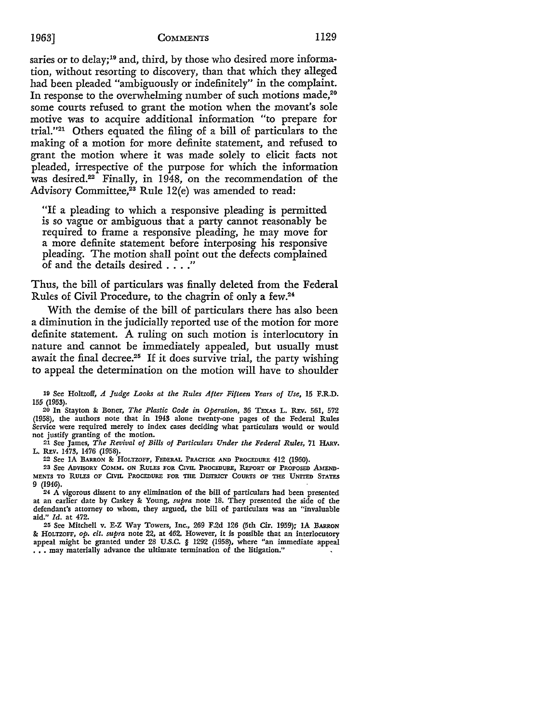saries or to delay;<sup>19</sup> and, third, by those who desired more information, without resorting to discovery, than that which they alleged had been pleaded "ambiguously or indefinitely" in the complaint. In response to the overwhelming number of such motions made,<sup>20</sup> some courts refused to grant the motion when the movant's sole motive was to acquire additional information "to prepare for trial."21 Others equated the filing of a bill of particulars to the making of a motion for more definite statement, and refused to grant the motion where it was made solely to elicit facts not pleaded, irrespective of the purpose for which the information was desired.22 Finally, in 1948, on the recommendation of the Advisory Committee,<sup>23</sup> Rule 12(e) was amended to read:

"If a pleading to which a responsive pleading is permitted is so vague or ambiguous that a party cannot reasonably be required to frame a responsive pleading, he may move for a more definite statement before interposing his responsive pleading. The motion shall point out the defects complained of and the details desired .... "

Thus, the bill of particulars was finally deleted from the Federal Rules of Civil Procedure, to the chagrin of only a few.<sup>24</sup>

With the demise of the bill of particulars there has also been a diminution in the judicially reported use of the motion for more definite statement. A ruling on such motion is interlocutory in nature and cannot be immediately appealed, but usually must await the final decree.<sup>25</sup> If it does survive trial, the party wishing to appeal the determination on the motion will have to shoulder

19 See Holtzoff, *A Judge Looks at the Rules After Fifteen Years of Use,* 15 F.R.D. 155 (1953).

20 In Stayton 8: Boner, *The Plastic Code in Operation, 36* TEXAS L. REv. 561, 572 (1958), the authors note that in 1943 alone twenty-one pages of the Federal Rules Service were required merely to index cases deciding what particulars would or would not justify granting of the motion.

21 See James, *The Revival of Bills of Particulars Under the Federal Rules,* 71 HARv. L. REV. 1473, 1476 (1958).

22 See IA BARRON 8: HOLTZOFF, FEDERAL PRACTICE AND PROCEDURE 412 (1960).

23 See ADVISORY COMM. ON RULES FOR CIVIL PROCEDURE, REPORT OF PROPOSED AMEND-MENTS TO RULES OF CIVIL PROCEDURE FOR THE DISTRICT COURTS OF THE UNITED STATES 9 (1946).

24 A vigorous dissent to any elimination of the bill of particulars had been presented at an earlier date by Caskey &: Young, *supra* note 18. They presented the side of the defendant's attorney to whom, they argued, the bill of particulars was an "invaluable aid," *Id.* at 472.

25 See Mitchell v. E-Z Way Towers, Inc., 269 F,2d 126 (5th Cir. 1959); IA BARRON &: HoLTZOFF, *op. cit. supra* note 22, at 462. However, it is possible that an interlocutory appeal might be granted under 28 U.S.C. § 1292 (1958), where "an immediate appeal ... may materially advance the ultimate termination of the litigation."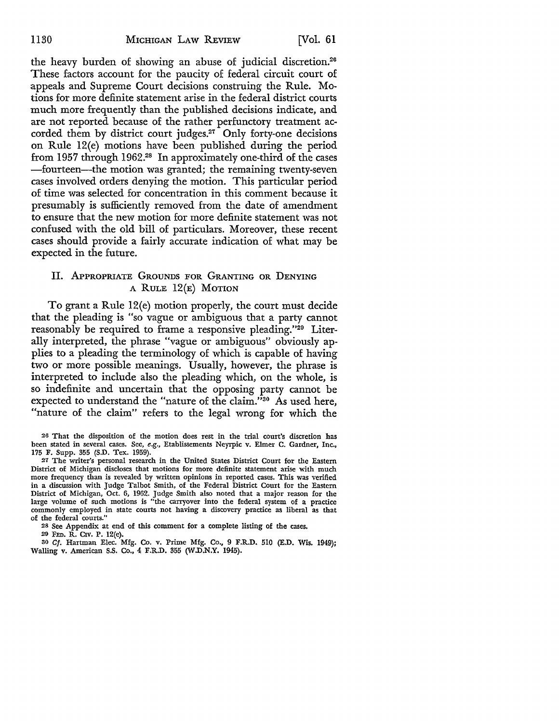the heavy burden of showing an abuse of judicial discretion.26 These factors account for the paucity of federal circuit court of appeals and Supreme Court decisions construing the Rule. Motions for more definite statement arise in the federal district courts much more frequently than the published decisions indicate, and are not reported because of the rather perfunctory treatment accorded them by district court judges.27 Only forty-one decisions on Rule 12(e) motions have been published during the period from 1957 through 1962.28 In approximately one-third of the cases -fourteen-the motion was granted; the remaining twenty-seven cases involved orders denying the motion. This particular period of time was selected for concentration in this comment because it presumably is sufficiently removed from the date of amendment to ensure that the new motion for more definite statement was not confused with the old bill of particulars. Moreover, these recent cases should provide a fairly accurate indication of what may be expected in the future.

## Il. APPROPRIATE GROUNDS FOR GRANTING OR DENYING A RULE 12(E) MOTION

To grant a Rule 12(e) motion properly, the court must decide that the pleading is "so vague or ambiguous that a party cannot reasonably be required to frame a responsive pleading."20 Literally interpreted, the phrase "vague or ambiguous" obviously applies to a pleading the terminology of which is capable of having two or more possible meanings. Usually, however, the phrase is interpreted to include also the pleading which, on the whole, is so indefinite and uncertain that the opposing party cannot be expected to understand the "nature of the claim."<sup>30</sup> As used here, "nature of the claim" refers to the legal wrong for which the

20 That the disposition of the motion does rest in the trial court's discretion has been stated in several cases. See, *e.g.,* Etablissements Neyrpic v. Elmer C. Gardner, Inc., 175 F. Supp. 355 (S.D. Tex. 1959).

27 The writer's personal research in the United States District Court for the Eastern District of Michigan discloses that motions for more definite statement arise with much more frequency than is revealed by written opinions in reported cases. This was verified in a discussion with Judge Talbot Smith, of the Federal District Court for the Eastern District of Michigan, Oct. 6, 1962. Judge Smith also noted that a major reason for the large volume of such motions is "the carryover into the federal system of a practice commonly employed in state courts not having a discovery practice as liberal as that of the federal courts."

28 See Appendix at end of this comment for a complete listing of the cases.

29 FED. R. C1v. P. 12(e).

ao Cf. Hartman Elec. Mfg. Co. v. Prime Mfg. Co., 9 F.R.D. 510 (E.D. Wis. 1949); Walling v. American S.S. Co., 4 F.R.D. 355 (W.D.N.Y. 1945).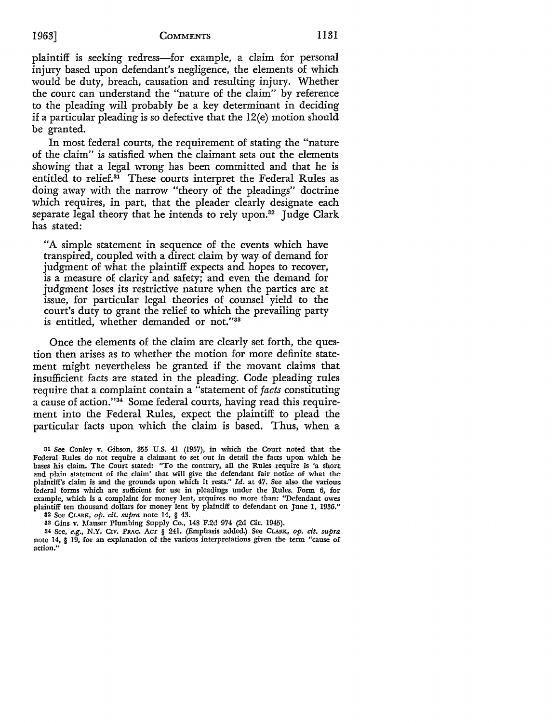plaintiff is seeking redress-for example, a claim for personal injury based upon defendant's negligence, the elements of which would be duty, breach, causation and resulting injury. Whether the court can understand the "nature of the claim" by reference to the pleading will probably be a key determinant in deciding if a particular pleading is so defective that the 12(e) motion should be granted.

In most federal courts, the requirement of stating the "nature of the claim" is satisfied when the claimant sets out the elements showing that a legal wrong has been committed and that he is entitled to relief.<sup>31</sup> These courts interpret the Federal Rules as doing away with the narrow "theory of the pleadings" doctrine which requires, in part, that the pleader clearly designate each separate legal theory that he intends to rely upon.<sup>32</sup> Judge Clark has stated:

"A simple statement in sequence of the events which have transpired, coupled with a direct claim by way of demand for judgment of what the plaintiff expects and hopes to recover, is a measure of clarity and safety; and even the demand for judgment loses its restrictive nature when the parties are at issue, for particular legal theories of counsel yield to the court's duty to grant the relief to which the prevailing party is entitled, whether demanded or not."33

Once the elements of the claim are clearly set forth, the question then arises as to whether the motion for more definite statement might nevertheless be granted if the movant claims that insufficient facts are stated in the pleading. Code pleading rules require that a complaint contain a "statement of *facts* constituting a cause of action."34 Some federal courts, having read this requirement into the Federal Rules, expect the plaintiff to plead the particular facts upon which the claim is based. Thus, when a

<sup>31</sup> See Conley v. Gibson, 355 U.S. 41 (1957), in which the Court noted that the Federal Rules do not require a claimant to set out in detail the facts upon which he bases his claim. The Court stated: "To the contrary, all the Rules require is 'a short and plain statement of the claim' that will give the defendant fair notice of what the plaintiff's claim is and the grounds upon which it rests." *Id.* at 47. See also the various federal forms which are sufficient for use in pleadings under the Rules. Form 6, for example, which is a complaint for money lent, requires no more than: "Defendant owes plaintiff ten thousand dollars for money lent by plaintiff to defendant on June I, 1936." 32 See CLARK, *op. cit. supra* note 14, § 43.

<sup>33</sup> Gins v. Mauser Plumbing Supply Co., 148 F.2d 974 (2d Cir. 1945).

<sup>34</sup> See, e.g., N.Y. CIv. PRAc. AcT § 241. (Emphasis added.) See CLARK, op. cit. supra note 14, § 19, for an explanation of the various interpretations given the term "cause of action."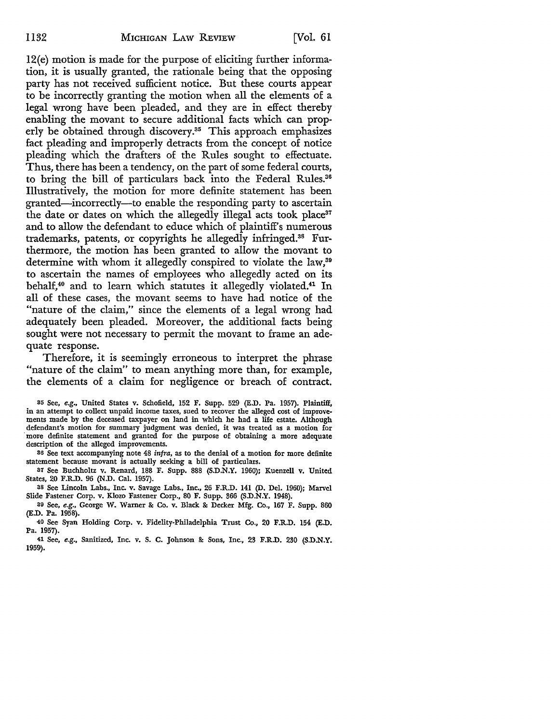12(e) motion is made for the purpose of eliciting further information, it is usually granted, the rationale being that the opposing party has not received sufficient notice. But these courts appear to be incorrectly granting the motion when all the elements of a legal wrong have been pleaded, and they are in effect thereby enabling the movant to secure additional facts which can properly be obtained through discovery.<sup>35</sup> This approach emphasizes fact pleading and improperly detracts from the concept of notice pleading which the drafters of the Rules sought to effectuate. Thus, there has been a tendency, on the part of some federal courts, to bring the bill of particulars back into the Federal Rules.<sup>36</sup> Illustratively, the motion for more definite statement has been granted-incorrectly-to enable the responding party to ascertain the date or dates on which the allegedly illegal acts took place<sup>37</sup> and to allow the defendant to educe which of plaintiff's numerous trademarks, patents, or copyrights he allegedly infringed.38 Furthermore, the motion has been granted to allow the movant to determine with whom it allegedly conspired to violate the law,<sup>39</sup> to ascertain the names of employees who allegedly acted on its behalf,<sup>40</sup> and to learn which statutes it allegedly violated.<sup>41</sup> In all of these cases, the movant seems to have had notice of the "nature of the claim," since the elements of a legal wrong had adequately been pleaded. Moreover, the additional facts being sought were not necessary to permit the movant to frame an adequate response.

Therefore, it is seemingly erroneous to interpret the phrase "nature of the claim" to mean anything more than, for example, the elements of a claim for negligence or breach of contract.

35 See, *e.g.,* United States v. Schofield, 152 F. Supp. 529 (E.D. Pa. 1957). Plaintiff, in an attempt to collect unpaid income taxes, sued to recover the alleged cost of improvements made by the deceased taxpayer on land in which he had a life estate. Although defendant's motion for summary judgment was denied, it was treated as a motion for more definite statement and granted for the purpose of obtaining a more adequate description of the alleged improvements.

86 See text accompanying note 48 infra, as to the denial of a motion for more definite statement because movant is actually seeking a bill of particulars.

87 See Buchholtz v. Renard, 188 F. Supp. 888 (S.D.N.Y. 1960); Kuenzell v. United States, 20 F.R.D. 96 (N.D. Cal. 1957).

38 See Lincoln Labs., Inc. v. Savage Labs., Inc., 26 F.R.D. 141 (D. Del. 1960); Marvel Slide Fastener Corp. v. Klozo Fastener Corp., 80 F. Supp. 366 (S.D.N.Y. 1948).

39 See, *e.g.,* George W. Warner &: Co. v. Black &: Decker Mfg. Co., 167 F. Supp. 860 (E.D. Pa. 1958).

40 See Syan Holding Corp. v. Fidelity-Philadelphia Trust Co., 20 F.R.D. 154 (E.D. Pa. 1957).

41 See, *e.g.,* Sanitized, Inc. v. S. C. Johnson &: Sons, Inc., 23 F.R.D. 230 (S.D.N.Y. 1959).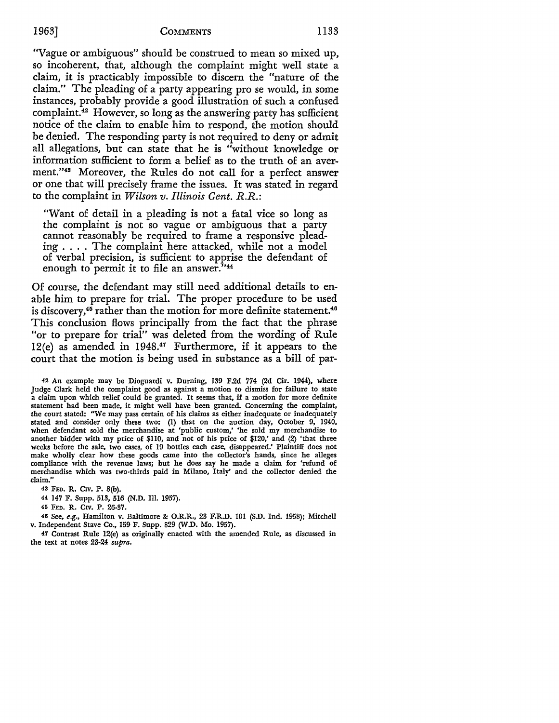"Vague or ambiguous" should be construed to mean so mixed up, so incoherent, that, although the complaint might well state a claim, it is practicably impossible to discern the "nature of the claim." The pleading of a party appearing pro se would, in some instances, probably provide a good illustration of such a confused complaint.42 However, so long as the answering party has sufficient notice of the claim to enable him to respond, the motion should be denied. The responding party is not required to deny or admit all allegations, but can state that he is "without knowledge or information sufficient to form a belief as to the truth of an averment."48 Moreover, the Rules do not call for a perfect answer or one that will precisely frame the issues. It was stated in regard to the complaint in *Wilson v. Illinois Gent. R.R.:* 

"Want of detail in a pleading is not a fatal vice so long as the complaint is not so vague or ambiguous that a party cannot reasonably be required to frame a responsive pleading . . . . The complaint here attacked, while not a model of verbal precision, is sufficient to apprise the defendant of enough to permit it to file an answer.<sup>7144</sup>

Of course, the defendant may still need additional details to enable him to prepare for trial. The proper procedure to be used is discovery,<sup>45</sup> rather than the motion for more definite statement.<sup>46</sup> This conclusion flows principally from the fact that the phrase "or to prepare for trial" was deleted from the wording of Rule 12(e) as amended in 1948.47 Furthermore, if it appears to the court that the motion is being used in substance as a bill of par-

42 An example may be Dioguardi v. Durning, 139 F.2d 774 (2d Cir. 1944), where Judge Clark held the complaint good as against a motion to dismiss for failure to state a claim upon which relief could be granted. It seems that, if a motion for more definite statement had been made, it might well have been granted. Concerning the complaint, the court stated: "We may pass certain of his claims as either inadequate or inadequately stated and consider only these two: (1) that on the auction day, October 9, 1940, when defendant sold the merchandise at 'public custom,' 'he sold my merchandise to another bidder with my price of \$HO, and not of his price of \$120,' and (2) 'that three weeks before the sale, two cases, of 19 bottles each case, disappeared.' Plaintiff does not make wholly clear how these goods came into the collector's hands, since he alleges compliance with the revenue laws; but he does say he made a claim for 'refund of merchandise which was two-thirds paid in Milano, Italy' and the collector denied the claim.''

43 FED. R. CIV. P. 8(b).

44 147 F. Supp. 513, 516 (N.D. Ill. 1957).

45 FED. R. CIV. P. 26-37.

40 See, *e.g.,* Hamilton v. Baltimore & O.R.R., 23 F.R.D. 101 (S.D. Ind. 1958); Mitchell v. Independent Stave Co., 159 F. Supp. 829 (W.D. Mo. 1957).

47 Contrast Rule 12(e) as originally enacted with the amended Rule, as discussed in the text at notes 23-24 *supra.*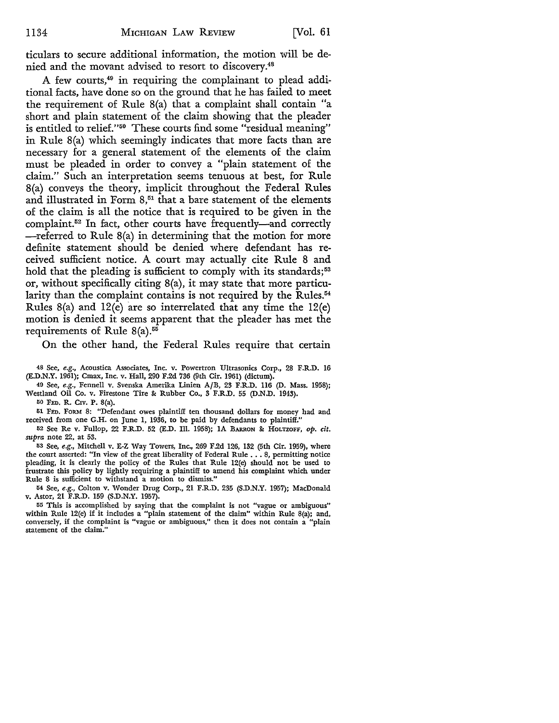ticulars to secure additional information, the motion will be denied and the movant advised to resort to discovery.48

A few courts,49 in requiring the complainant to plead additional facts, have done so on the ground that he has failed to meet the requirement of Rule S(a) that a complaint shall contain "a short and plain statement of the claim showing that the pleader is entitled to relief."50 These courts find some "residual meaning" in Rule S(a) which seemingly indicates that more facts than are necessary for a general statement of the elements of the claim must be pleaded in order to convey a "plain statement of the claim." Such an interpretation seems tenuous at best, for Rule S(a) conveys the theory, implicit throughout the Federal Rules and illustrated in Form 8,<sup>51</sup> that a bare statement of the elements of the claim is all the notice that is required to be given in the complaint.<sup>52</sup> In fact, other courts have frequently-and correctly -referred to Rule S(a) in determining that the motion for more definite statement should be denied where defendant has received sufficient notice. A court may actually cite Rule 8 and hold that the pleading is sufficient to comply with its standards;<sup>53</sup> or, without specifically citing S(a), it may state that more particularity than the complaint contains is not required by the Rules.<sup>54</sup> Rules S(a) and 12(e) are so interrelated that any time the 12(e) motion is denied it seems apparent that the pleader has met the requirements of Rule 8(a).<sup>55</sup>

On the other hand, the Federal Rules require that certain

48 See, *e.g.,* Acoustica Associates, Inc. v. Powertron Ultrasonics Corp., 28 F.R.D. 16 (E.D.N.Y. 1961); Cmax, Inc. v. Hall, 290 F.2d 736 (9th Cir. 1961) (dictum).

49 See, *e.g.,* Fennell v. Svenska Amerika Linien A/B, 23 F.R.D. 116 (D. Mass. 1958); Westland Oil Co. v. Firestone Tire & Rubber Co., 3 F.R.D. 55 (D.N.D. 1943).

50 FED. R. CIV. P. 8(a).

51 FED. FORM 8: "Defendant owes plaintiff ten thousand dollars for money had and received from one G.H. on June 1, 1936, to be paid by defendants to plaintiff."

52 See Re v. Fullop, 22 F.R.D. 52 (E.D. Ill. 1958); IA BARRON &: HOLTZOFF, *op. cit. supra* note 22, at 53.

53 See, *e.g.,* Mitchell v. E-Z Way Towers, Inc., 269 F.2d 126, 132 (5th Cir. 1959), where the court asserted: "In view of the great liberality of Federal Rule ..• 8, permitting notice pleading, it is clearly the policy of the Rules that Rule 12(e) should not be used to frustrate this policy by lightly requiring a plaintiff to amend his complaint which under Rule 8 is sufficient to withstand a motion to dismiss."

54 See, *e.g.,* Colton v. Wonder Drug Corp., 21 F.R.D. 235 (S.D.N.Y. 1957); MacDonald v. Astor, 21 F.R.D. 159 (S.D.N.Y. 1957).

55 This is accomplished by saying that the complaint is not "vague or ambiguous" within Rule 12(e) if it includes a "plain statement of the claim" within Rule 8(a); and, conversely, if the complaint is "vague or ambiguous," then it does not contain a "plain statement of the claim.'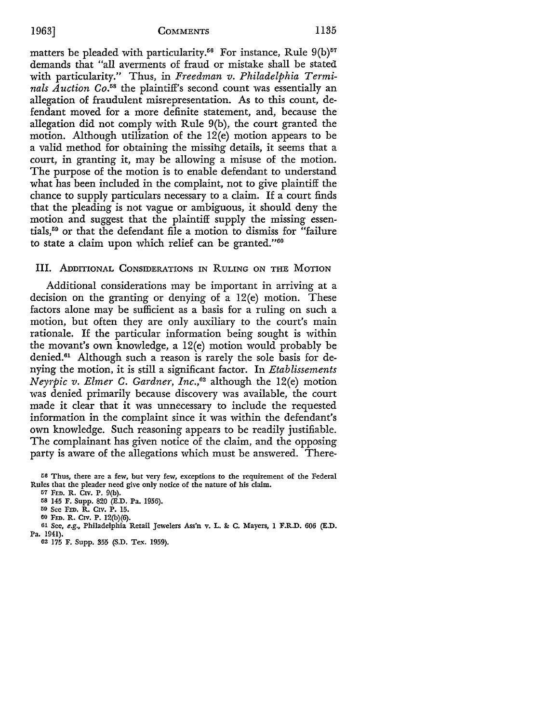matters be pleaded with particularity.<sup>56</sup> For instance, Rule  $9(b)^{57}$ demands that "all averments of fraud or mistake shall be stated with particularity." Thus, in *Freedman v. Philadelphia Terminals Auction* Co.58 the plaintiff's second count was essentially an allegation of fraudulent misrepresentation. As to this count, defendant moved for a more definite statement, and, because the allegation did not comply with Rule 9(b), the court granted the motion. Although utilization of the 12(e) motion appears to be a valid method for obtaining the missing details, it seems that a court, in granting it, may be allowing a misuse of the motion. The purpose of the motion is to enable defendant to understand what has been included in the complaint, not to give plaintiff the chance to supply particulars necessary to a claim. If a court finds that the pleading is not vague or ambiguous, it should deny the motion and suggest that the plaintiff supply the missing essentials, 59 or that the defendant file a motion to dismiss for "failure to state a claim upon which relief can be granted."<sup>60</sup>

## III. ADDITIONAL CONSIDERATIONS IN RULING ON THE MOTION

Additional considerations may be important in arriving at a decision on the granting or denying of a 12(e) motion. These factors alone may be sufficient as a basis for a ruling on such a motion, but often they are only auxiliary to the court's main rationale. If the particular information being sought is within the movant's own knowledge, a 12(e) motion would probably be denied.<sup>61</sup> Although such a reason is rarely the sole basis for denying the motion, it is still a significant factor. In *Etablissements Neyrpic v. Elmer* C. *Gardner, Inc., <sup>62</sup>*although the 12(e) motion was denied primarily because discovery was available, the court made it clear that it was unnecessary to include the requested information in the complaint since it was within the defendant's own knowledge. Such reasoning appears to be readily justifiable. The complainant has given notice of the claim, and the opposing party is aware of the allegations which must be answered. There-

- 01 See, *e.g.,* Philadelphia Retail Jewelers Ass'n v. L. &: C. Mayers, 1 F.R.D. 606 (E.D.
- Pa. 1941).
	- 02 175 F. Supp. 355 (S.D. Tex. 1959).

<sup>&</sup>lt;sup>56</sup> Thus, there are a few, but very few, exceptions to the requirement of the Federal Rules that the pleader need give only notice of the nature of his claim.

<sup>57</sup> FED. R. CIV. P. 9(b).

<sup>58 145</sup> F. Supp. 820 (E.D. Pa. 1956).

<sup>59</sup> See FED. R. CIV. P. 15.

<sup>60</sup> FED. R. CIV. P. 12(b)(6).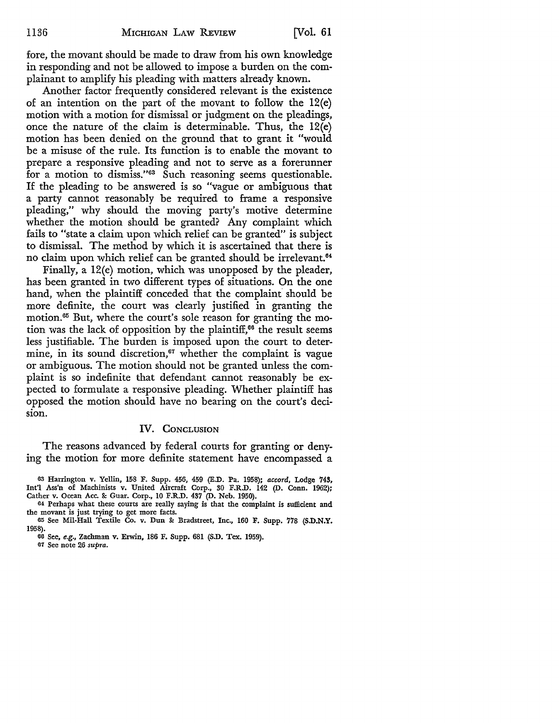fore, the movant should be made to draw from his own knowledge in responding and not be allowed to impose a burden on the complainant to amplify his pleading with matters already known.

Another factor frequently considered relevant is the existence of an intention on the part of the movant to follow the 12(e) motion with a motion for dismissal or judgment on the pleadings, once the nature of the claim is determinable. Thus, the 12(e) motion has been denied on the ground that to grant it "would be a misuse of the rule. Its function is to enable the movant to prepare a responsive pleading and not to serve as a forerunner for a motion to dismiss."<sup>63</sup> Such reasoning seems questionable. If the pleading to be answered is so "vague or ambiguous that a party cannot reasonably be required to frame a responsive pleading," why should the moving party's motive determine whether the motion should be granted? Any complaint which fails to "state a claim upon which relief can be granted" is subject to dismissal. The method by which it is ascertained that there is no claim upon which relief can be granted should be irrelevant.<sup>64</sup>

Finally, a 12(e) motion, which was unopposed by the pleader, has been granted in two different types of situations. On the one hand, when the plaintiff conceded that the complaint' should be more definite, the court was clearly justified in granting the motion.65 But, where the court's sole reason for granting the motion was the lack of opposition by the plaintiff,<sup> $66$ </sup> the result seems less justifiable. The burden is imposed upon the court to determine, in its sound discretion, $\alpha$ <sup>67</sup> whether the complaint is vague or ambiguous. The motion should not be granted unless the complaint is so indefinite that defendant cannot reasonably be expected to formulate a responsive pleading. Whether plaintiff has opposed the motion should have no bearing on the court's decision.

## IV. CONCLUSION

The reasons advanced by federal courts for granting or denying the motion for more definite statement have encompassed a

<sup>63</sup> Harrington v. Yellin, 158 F. Supp. 456, 459 (E.D. Pa. 1958); *accord,* Lodge 743, Int'l Ass'n of Machinists v. United Aircraft Corp., 30 F.R.D. 142 (D. Conn. 1962); Cather v. Ocean Acc. & Guar. Corp., IO F.R.D. 437 (D. Neb. 1950).

<sup>64</sup> Perhaps what these courts are really saying is that the complaint is sufficient and the movant is just trying to get more facts.

<sup>65</sup>See Mil-Hall Textile Co. v. Dun & Bradstreet, Inc., 160 F. Supp. 778 (S.D.N.Y. 1958).

<sup>66</sup>See, *e.g.,* Zachman v. Erwin, 186 F. Supp. 681 (S.D. Tex. 1959).

<sup>67</sup> See note 26 *supra.*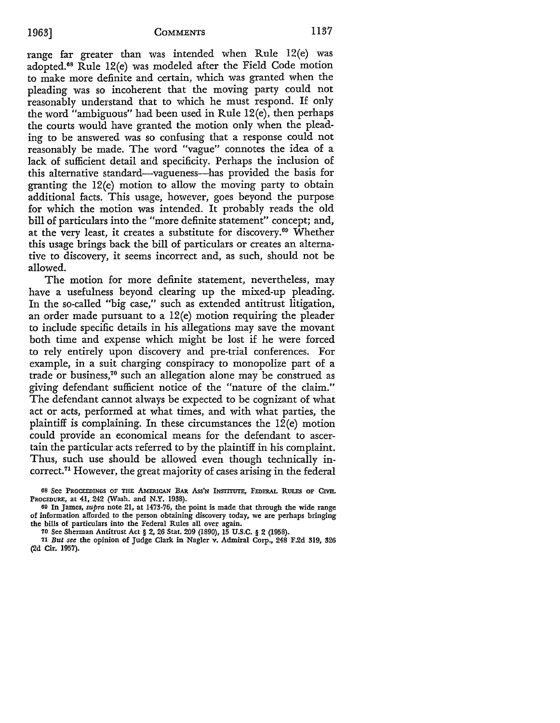range far greater than was intended when Rule 12(e) was adopted.68 Rule 12(e) was modeled after the Field Code motion to make more definite and certain, which was granted when the pleading was so incoherent that the moving party could not reasonably understand that to which he must respond. If only the word "ambiguous" had been used in Rule 12(e), then perhaps the courts would have granted the motion only when the pleading to be answered was so confusing that a response could not reasonably be made. The word "vague" connotes the idea of a lack of sufficient detail and specificity. Perhaps the inclusion of this alternative standard-vagueness-has provided the basis for granting the 12(e) motion to allow the moving party to obtain additional facts. This usage, however, goes beyond the purpose for which the motion was intended. It probably reads the old bill of particulars into the "more definite statement" concept; and, at the very least, it creates a substitute for discovery.<sup>69</sup> Whether this usage brings back the bill of particulars or creates an alternative to discovery, it seems incorrect and, as such, should not be allowed.

The motion for more definite statement, nevertheless, may have a usefulness beyond clearing up the mixed-up pleading. In the so-called "big case," such as extended antitrust litigation, an order made pursuant to a 12(e) motion requiring the pleader to include specific details in his allegations may save the movant both time and expense which might be lost if he were forced to rely entirely upon discovery and pre-trial conferences. For example, in a suit charging conspiracy to monopolize part of a trade or business, 70 such an allegation alone may be construed as giving defendant sufficient notice of the "nature of the claim." The defendant cannot always be expected to be cognizant of what act or acts, performed at what times, and with what parties, the plaintiff is complaining. In these circumstances the  $12(e)$  motion could provide an economical means for the defendant to ascertain the particular acts referred to by the plaintiff in his complaint. Thus, such use should be allowed even though technically incorrect. 71 However, the great majority of cases arising in the federal

70 See Sherman Antitrust Act § 2, 26 Stat. 209 (1890), 15 U.S.C. § 2 (1958).

<sup>68</sup> See Proceedings of the American Bar Ass'n Institute, Federal Rules of Civil PROCEDURE, at 41, 242 (Wash. and N.Y. 1938).

<sup>60</sup> In James, *supra* note 21, at 1473-76, the point is made that through the wide range of information afforded to the person obtaining discovery today, we are perhaps bringing the bills of particulars into the Federal Rules all over again.

<sup>71</sup> *But see* the opinion of Judge Clark in Nagler v. Admiral Corp., 248 F.2d 319, 326 (2d Cir. 1957).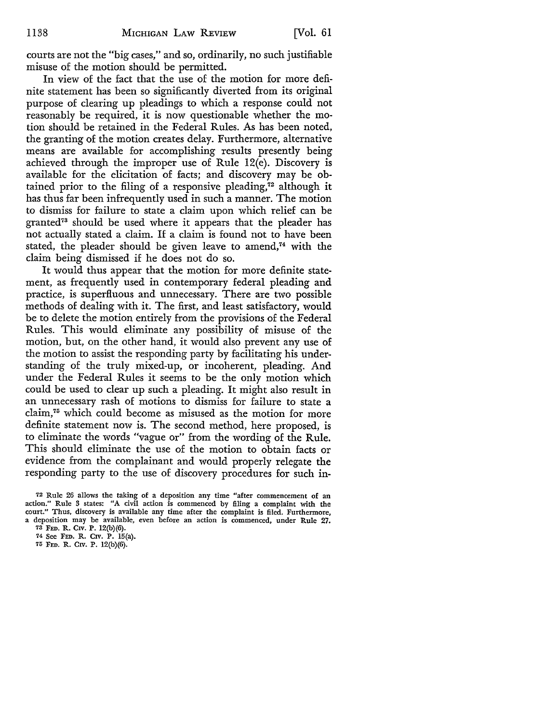courts are not the "big cases," and so, ordinarily, no such justifiable misuse of the motion should be permitted.

In view of the fact that the use of the motion for more definite statement has been so significantly diverted from its original purpose of clearing up pleadings to which a response could not reasonably be required, it is now questionable whether the motion should be retained in the Federal Rules. As has been noted, the granting of the motion creates delay. Furthermore, alternative means are available for accomplishing results presently being achieved through the improper use of Rule 12(e). Discovery is available for the elicitation of facts; and discovery may be obtained prior to the filing of a responsive pleading, $\tau^2$  although it has thus far been infrequently used in such a manner. The motion to dismiss for failure to state a claim upon which relief can be granted<sup>73</sup> should be used where it appears that the pleader has not actually stated a claim. If a claim is found not to have been stated, the pleader should be given leave to amend, $74$  with the claim being dismissed if he does not do so.

It would thus appear that the motion for more definite statement, as frequently used in contemporary federal pleading and practice, is superfluous and unnecessary. There are two possible methods of dealing with it. The first, and least satisfactory, would be to delete the motion entirely from the provisions of the Federal Rules. This would eliminate any possibility of misuse of the motion, but, on the other hand, it would also prevent any use of the motion to assist the responding party by facilitating his understanding of the truly mixed-up, or incoherent, pleading. And under the Federal Rules it seems to be the only motion which could be used to clear up such a pleading. It might also result in an unnecessary rash of motions to dismiss for failure to state a claim,75 which could become as misused as the motion for more definite statement now is. The second method, here proposed, is to eliminate the words "vague or" from the wording of the Rule. This should eliminate the use of the motion to obtain facts or evidence from the complainant and would properly relegate the responding party to the use of discovery procedures for such in-

<sup>72</sup> Rule 26 allows the taking of a deposition any time "after commencement of an action." Rule 3 states: "A civil action is commenced by filing a complaint with the court." Thus, discovery is available any time after the complaint is filed. Furthermore, a deposition may be available, even before an action is commenced, under Rule 27.

<sup>73</sup> FED. R. CIV. P. 12(b)(6).

<sup>74</sup> See FED. R. CIV. P. 15(a).

<sup>75</sup> FED. R. CIV. P. 12(b)(6).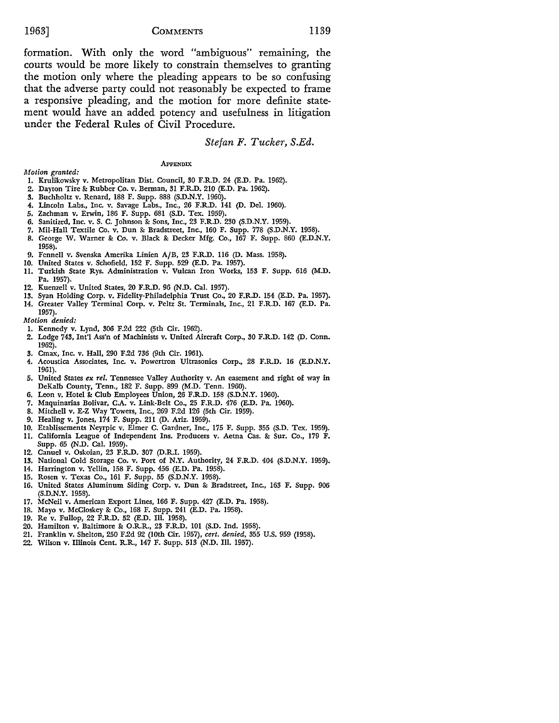formation. With only the word "ambiguous" remaining, the courts would be more likely to constrain themselves to granting the motion only where the pleading appears to be so confusing that the adverse party could not reasonably be expected to frame a responsive pleading, and the motion for more definite statement would have an added potency and usefulness in litigation under the Federal Rules of Civil Procedure.

#### *Stefan F. Tucker, S.Ed.*

#### **APPENDIX**

- *Motion granted:*
- I. Krulikowsky v. Metropolitan Dist. Council, 30 F.R.D. 24 (E.D. Pa. 1962).
- 2. Dayton Tire & Rubber Co. v. Berman, 31 F.R.D. 210 (E.D. Pa. 1962).
- 3. Buchholtz v. Renard, 188 F. Supp. 888 (S.D.N.Y. 1960).
- 4. Lincoln Labs., Inc. v. Savage Labs., Inc., 26 F.R.D. 141 (D. Del. 1960).
- 5. Zachman v. Erwin, 186 F. Supp. 681 (S.D. Tex. 1959).
- 6, Sanitized, Inc. v. S. C. Johnson &: Sons, Inc., 23 F.R.D. 230 (S.D.N.Y. 1959).
- 7. Mil-Hall Textile Co. v. Dun & Bradstreet, Inc., 160 F. Supp. 778 (S.D.N.Y. 1958).
- 8. George W. Warner & Co. v. Black & Decker Mfg. Co., 167 F. Supp. 860 (E.D.N.Y. 1958).
- 9. Fennell v. Svenska Amerika Linien A/B, 23 F.R.D. 116 (D. Mass. 1958).
- 10. United States v. Schofield, 152 F. Supp. 529 (E.D. Pa. 1957).
- 11. Turkish State Rys. Administration v. Vulcan Iron Works, 153 F. Supp. 616 (M.D. Pa. 1957).
- 12. Kucnzell v. United States, 20 F.R.D. 96 (N.D. Cal. 1957).
- 13. Syan Holding Corp. v. Fidelity-Philadelphia Trust Co., 20 F.R.D. 154 (E.D. Pa. 1957).
- 14. Greater Valley Terminal Corp. v. Peltz St. Terminals, Inc., 21 F.R.D. 167 (E.D. Pa. 1957).

*Motion denied:* 

- 1. Kennedy v. Lynd, 306 F.2d 222 (5th Cir. 1962).
- 2. Lodge 743, Int'! Ass'n of Machinists v. United Aircraft Corp., 30 F.R.D. 142 (D. Conn. 1962).
- 3. Cmax, Inc. v. Hall, 290 F.2d 736 (9th Cir. 1961).
- 4. Acoustica Associates, Inc. v. Powcrtron Ultrasonics Corp., 28 F.R.D. 16 (E.D.N.Y. 1961).
- 5. United States *ex rel.* Tennessee Valley Authority v. An easement and right of way in DeKalb County, Tenn., 182 F. Supp. 899 (M.D. Tenn. 1960).
- 6. Leon v. Hotel & Club Employees Union, 26 F.R.D. 158 (S.D.N.Y. 1960).
- 7. Maquinarias Bolivar, C.A. v. Link-Belt Co., 25 F.R.D. 476 (E.D. Pa. 1960).
- 8. Mitchell v. E-Z Way Towers, Inc., 269 F.2d 126 (5th Cir. 1959).
- 9. Healing v. Jones, 174 F. Supp. 211 (D. Ariz. 1959).
- IO. Etablisscments Neyrpic v. Elmer C. Gardner, Inc., 175 F. Supp. 355 (S.D. Tex. 1959).
- 11. California League of Independent Ins. Producers v. Aetna Cas. & Sur. Co., 179 F. Supp. 65 (N.D. Cal. 1959).
- 12. Canuel v. Oskoian, 23 F.R.D. 307 (D.R.!. 1959).
- 13. National Cold Storage Co. v. Port of N.Y. Authority, 24 F.R.D. 404 (S.D.N.Y. 1959).
- 14. Harrington v. Yellin, 158 F. Supp. 456 (E.D. Pa. 1958).
- 15. Rosen v. Texas Co., 161 F. Supp. 55 (S.D.N.Y. 1958).
- 16. United States Aluminum Siding Corp. v. Dun &: Bradstreet, Inc., 163 F. Supp. 906 (S.D.N.Y. 1958).
- 17. McNeil v. American Export Lines, 166 F. Supp. 427 (E.D. Pa. 1958).
- 18. Mayo v. McCloskcy- & Co., 168 F. Supp. 241 (E.D. Pa. 1958).
- 19. Re v. Fullop, 22 F.R.D. 52 (E.D. Ill. 1958).
- 20. Hamilton v. Baltimore & O.R.R., 23 F.R.D. 101 (S.D. Ind. 1958).
- 21. Franklin v. Shelton, 250 F.2d 92 (10th Cir. 1957), *cert. denied,* 355 U.S. 959 (1958).
- 22. Wilson v. Illinois Cent. R.R., 147 F. Supp. 513 (N.D. Ill. 1957).